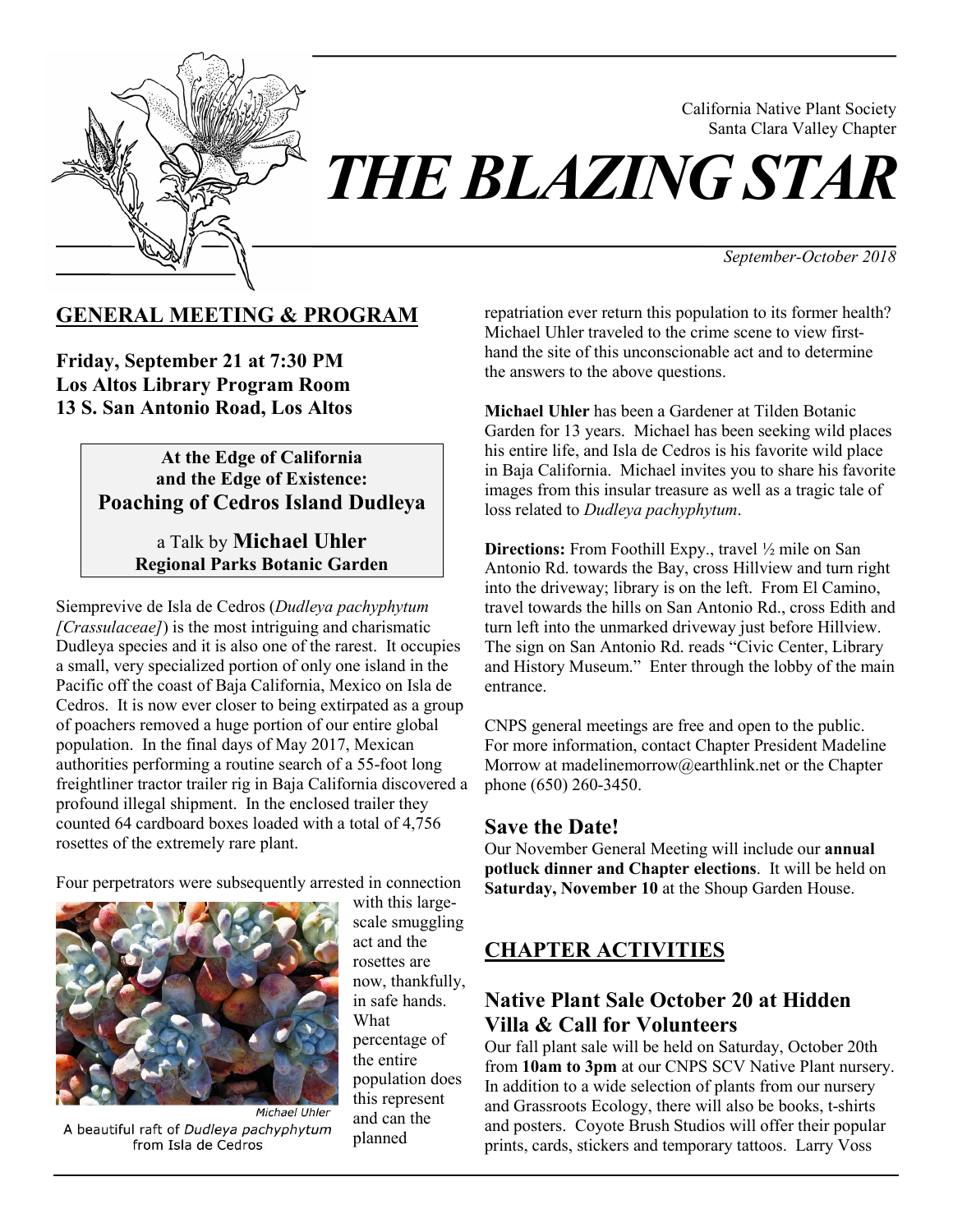

California Native Plant Society Santa Clara Valley Chapter

*September-October 2018*

## **GENERAL MEETING & PROGRAM**

**Friday, September 21 at 7:30 PM Los Altos Library Program Room 13 S. San Antonio Road, Los Altos**

### **At the Edge of California and the Edge of Existence: Poaching of Cedros Island Dudleya**

a Talk by **Michael Uhler Regional Parks Botanic Garden** 

Siemprevive de Isla de Cedros (*Dudleya pachyphytum [Crassulaceae]*) is the most intriguing and charismatic Dudleya species and it is also one of the rarest. It occupies a small, very specialized portion of only one island in the Pacific off the coast of Baja California, Mexico on Isla de Cedros. It is now ever closer to being extirpated as a group of poachers removed a huge portion of our entire global population. In the final days of May 2017, Mexican authorities performing a routine search of a 55-foot long freightliner tractor trailer rig in Baja California discovered a profound illegal shipment. In the enclosed trailer they counted 64 cardboard boxes loaded with a total of 4,756 rosettes of the extremely rare plant.

Four perpetrators were subsequently arrested in connection



A beautiful raft of Dudleya pachyphytum from Isla de Cedros

with this largescale smuggling act and the rosettes are now, thankfully, in safe hands. What percentage of the entire population does this represent and can the planned

repatriation ever return this population to its former health? Michael Uhler traveled to the crime scene to view firsthand the site of this unconscionable act and to determine the answers to the above questions.

**Michael Uhler** has been a Gardener at Tilden Botanic Garden for 13 years. Michael has been seeking wild places his entire life, and Isla de Cedros is his favorite wild place in Baja California. Michael invites you to share his favorite images from this insular treasure as well as a tragic tale of loss related to *Dudleya pachyphytum*.

**Directions:** From Foothill Expy., travel  $\frac{1}{2}$  mile on San Antonio Rd. towards the Bay, cross Hillview and turn right into the driveway; library is on the left. From El Camino, travel towards the hills on San Antonio Rd., cross Edith and turn left into the unmarked driveway just before Hillview. The sign on San Antonio Rd. reads "Civic Center, Library and History Museum." Enter through the lobby of the main entrance.

CNPS general meetings are free and open to the public. For more information, contact Chapter President Madeline Morrow at madelinemorrow@earthlink.net or the Chapter phone (650) 260-3450.

## **Save the Date!**

Our November General Meeting will include our **annual potluck dinner and Chapter elections**. It will be held on **Saturday, November 10** at the Shoup Garden House.

# **CHAPTER ACTIVITIES**

# **Native Plant Sale October 20 at Hidden Villa & Call for Volunteers**

Our fall plant sale will be held on Saturday, October 20th from **10am to 3pm** at our CNPS SCV Native Plant nursery. In addition to a wide selection of plants from our nursery and Grassroots Ecology, there will also be books, t-shirts and posters. Coyote Brush Studios will offer their popular prints, cards, stickers and temporary tattoos. Larry Voss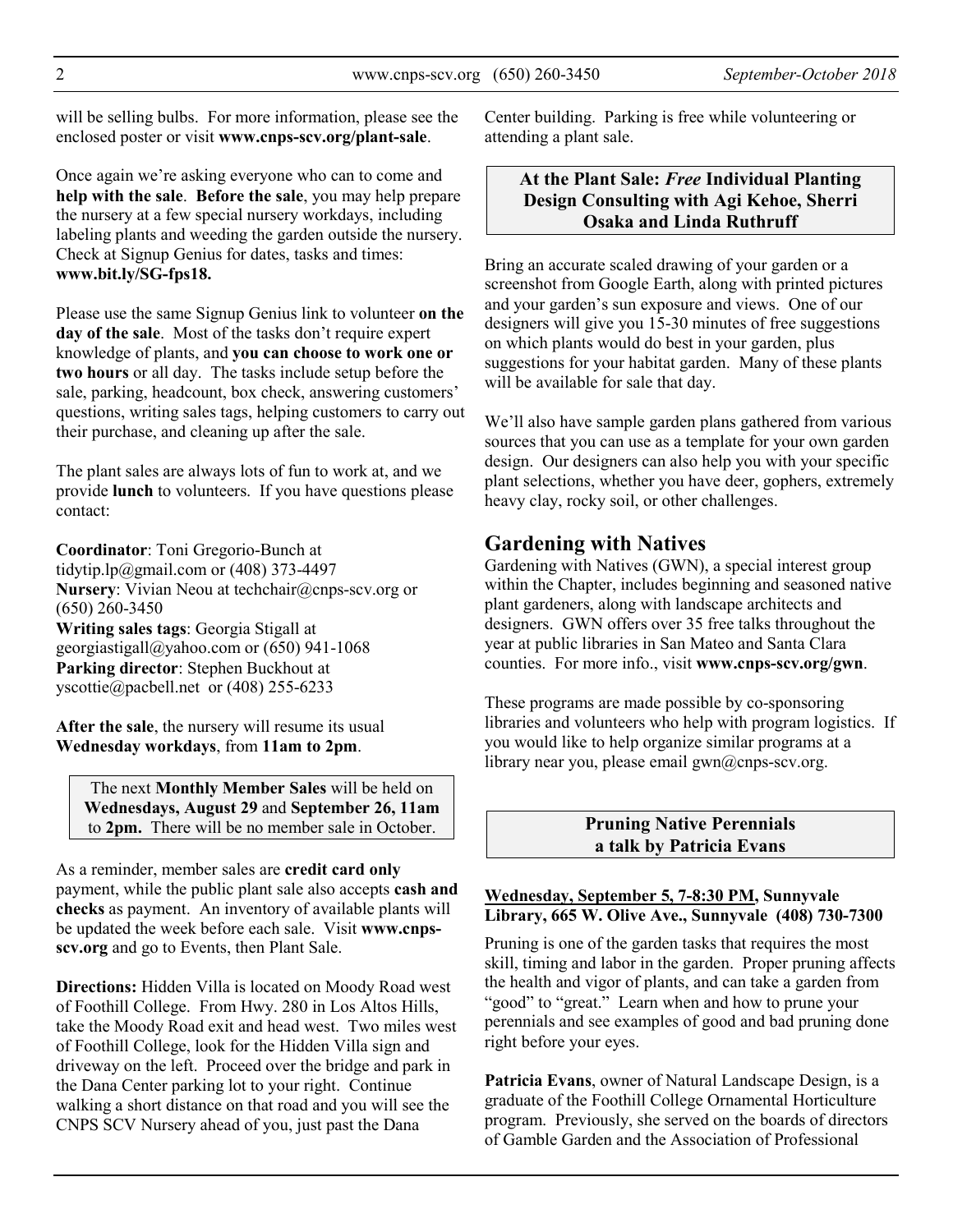will be selling bulbs. For more information, please see the enclosed poster or visit **www.cnps-scv.org/plant-sale**.

Once again we're asking everyone who can to come and **help with the sale**. **Before the sale**, you may help prepare the nursery at a few special nursery workdays, including labeling plants and weeding the garden outside the nursery. Check at Signup Genius for dates, tasks and times: **www.bit.ly/SG-fps18.** 

Please use the same Signup Genius link to volunteer **on the day of the sale**. Most of the tasks don't require expert knowledge of plants, and **you can choose to work one or two hours** or all day. The tasks include setup before the sale, parking, headcount, box check, answering customers' questions, writing sales tags, helping customers to carry out their purchase, and cleaning up after the sale.

The plant sales are always lots of fun to work at, and we provide **lunch** to volunteers. If you have questions please contact:

**Coordinator**: Toni Gregorio-Bunch at tidytip.lp@gmail.com or (408) 373-4497 **Nursery**: Vivian Neou at techchair@cnps-scv.org or (650) 260-3450 **Writing sales tags**: Georgia Stigall at georgiastigall@yahoo.com or (650) 941-1068 **Parking director**: Stephen Buckhout at yscottie@pacbell.net or (408) 255-6233

**After the sale**, the nursery will resume its usual **Wednesday workdays**, from **11am to 2pm**.

The next **Monthly Member Sales** will be held on **Wednesdays, August 29** and **September 26, 11am**  to **2pm.** There will be no member sale in October.

As a reminder, member sales are **credit card only** payment, while the public plant sale also accepts **cash and checks** as payment. An inventory of available plants will be updated the week before each sale. Visit **www.cnpsscv.org** and go to Events, then Plant Sale.

**Directions:** Hidden Villa is located on Moody Road west of Foothill College. From Hwy. 280 in Los Altos Hills, take the Moody Road exit and head west. Two miles west of Foothill College, look for the Hidden Villa sign and driveway on the left. Proceed over the bridge and park in the Dana Center parking lot to your right. Continue walking a short distance on that road and you will see the CNPS SCV Nursery ahead of you, just past the Dana

Center building. Parking is free while volunteering or attending a plant sale.

### **At the Plant Sale:** *Free* **Individual Planting Design Consulting with Agi Kehoe, Sherri Osaka and Linda Ruthruff**

Bring an accurate scaled drawing of your garden or a screenshot from Google Earth, along with printed pictures and your garden's sun exposure and views. One of our designers will give you 15-30 minutes of free suggestions on which plants would do best in your garden, plus suggestions for your habitat garden. Many of these plants will be available for sale that day.

We'll also have sample garden plans gathered from various sources that you can use as a template for your own garden design. Our designers can also help you with your specific plant selections, whether you have deer, gophers, extremely heavy clay, rocky soil, or other challenges.

## **Gardening with Natives**

Gardening with Natives (GWN), a special interest group within the Chapter, includes beginning and seasoned native plant gardeners, along with landscape architects and designers. GWN offers over 35 free talks throughout the year at public libraries in San Mateo and Santa Clara counties. For more info., visit **www.cnps-scv.org/gwn**.

These programs are made possible by co-sponsoring libraries and volunteers who help with program logistics. If you would like to help organize similar programs at a library near you, please email gwn@cnps-scv.org.

> **Pruning Native Perennials a talk by Patricia Evans**

#### **Wednesday, September 5, 7-8:30 PM, Sunnyvale Library, 665 W. Olive Ave., Sunnyvale (408) 730-7300**

Pruning is one of the garden tasks that requires the most skill, timing and labor in the garden. Proper pruning affects the health and vigor of plants, and can take a garden from "good" to "great." Learn when and how to prune your perennials and see examples of good and bad pruning done right before your eyes.

**Patricia Evans**, owner of Natural Landscape Design, is a graduate of the Foothill College Ornamental Horticulture program. Previously, she served on the boards of directors of Gamble Garden and the Association of Professional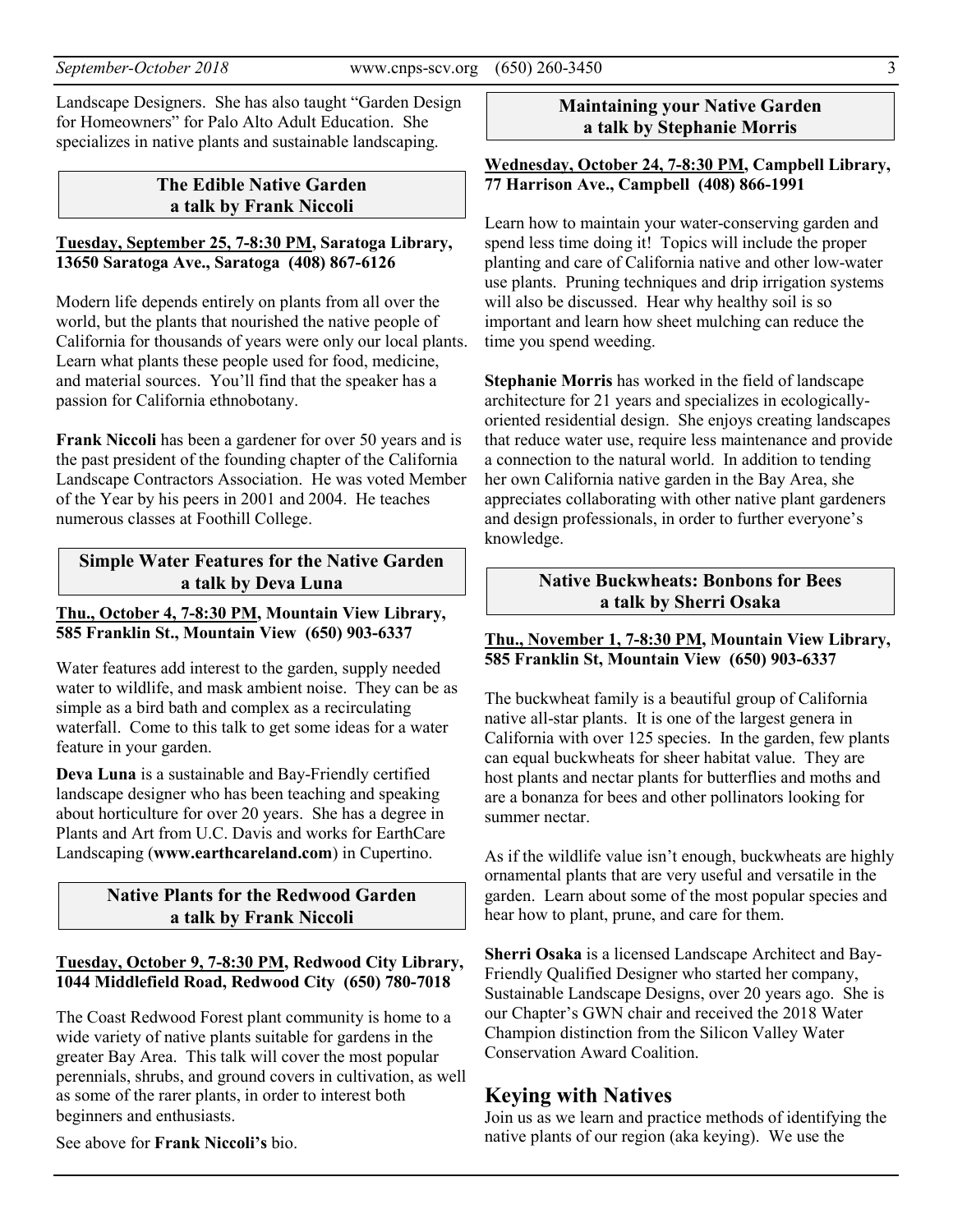Landscape Designers. She has also taught "Garden Design for Homeowners" for Palo Alto Adult Education. She specializes in native plants and sustainable landscaping.

### **The Edible Native Garden a talk by Frank Niccoli**

#### **Tuesday, September 25, 7-8:30 PM, Saratoga Library, 13650 Saratoga Ave., Saratoga (408) 867-6126**

Modern life depends entirely on plants from all over the world, but the plants that nourished the native people of California for thousands of years were only our local plants. Learn what plants these people used for food, medicine, and material sources. You'll find that the speaker has a passion for California ethnobotany.

**Frank Niccoli** has been a gardener for over 50 years and is the past president of the founding chapter of the California Landscape Contractors Association. He was voted Member of the Year by his peers in 2001 and 2004. He teaches numerous classes at Foothill College.

### **Simple Water Features for the Native Garden a talk by Deva Luna**

#### **Thu., October 4, 7-8:30 PM, Mountain View Library, 585 Franklin St., Mountain View (650) 903-6337**

Water features add interest to the garden, supply needed water to wildlife, and mask ambient noise. They can be as simple as a bird bath and complex as a recirculating waterfall. Come to this talk to get some ideas for a water feature in your garden.

**Deva Luna** is a sustainable and Bay-Friendly certified landscape designer who has been teaching and speaking about horticulture for over 20 years. She has a degree in Plants and Art from U.C. Davis and works for EarthCare Landscaping (**www.earthcareland.com**) in Cupertino.

## **Native Plants for the Redwood Garden a talk by Frank Niccoli**

#### **Tuesday, October 9, 7-8:30 PM, Redwood City Library, 1044 Middlefield Road, Redwood City (650) 780-7018**

The Coast Redwood Forest plant community is home to a wide variety of native plants suitable for gardens in the greater Bay Area. This talk will cover the most popular perennials, shrubs, and ground covers in cultivation, as well as some of the rarer plants, in order to interest both beginners and enthusiasts.

See above for **Frank Niccoli's** bio.

### **Maintaining your Native Garden a talk by Stephanie Morris**

#### **Wednesday, October 24, 7-8:30 PM, Campbell Library, 77 Harrison Ave., Campbell (408) 866-1991**

Learn how to maintain your water-conserving garden and spend less time doing it! Topics will include the proper planting and care of California native and other low-water use plants. Pruning techniques and drip irrigation systems will also be discussed. Hear why healthy soil is so important and learn how sheet mulching can reduce the time you spend weeding.

**Stephanie Morris** has worked in the field of landscape architecture for 21 years and specializes in ecologicallyoriented residential design. She enjoys creating landscapes that reduce water use, require less maintenance and provide a connection to the natural world. In addition to tending her own California native garden in the Bay Area, she appreciates collaborating with other native plant gardeners and design professionals, in order to further everyone's knowledge.

### **Native Buckwheats: Bonbons for Bees a talk by Sherri Osaka**

### **Thu., November 1, 7-8:30 PM, Mountain View Library, 585 Franklin St, Mountain View (650) 903-6337**

The buckwheat family is a beautiful group of California native all-star plants. It is one of the largest genera in California with over 125 species. In the garden, few plants can equal buckwheats for sheer habitat value. They are host plants and nectar plants for butterflies and moths and are a bonanza for bees and other pollinators looking for summer nectar.

As if the wildlife value isn't enough, buckwheats are highly ornamental plants that are very useful and versatile in the garden. Learn about some of the most popular species and hear how to plant, prune, and care for them.

**Sherri Osaka** is a licensed Landscape Architect and Bay-Friendly Qualified Designer who started her company, Sustainable Landscape Designs, over 20 years ago. She is our Chapter's GWN chair and received the 2018 Water Champion distinction from the Silicon Valley Water Conservation Award Coalition.

## **Keying with Natives**

Join us as we learn and practice methods of identifying the native plants of our region (aka keying). We use the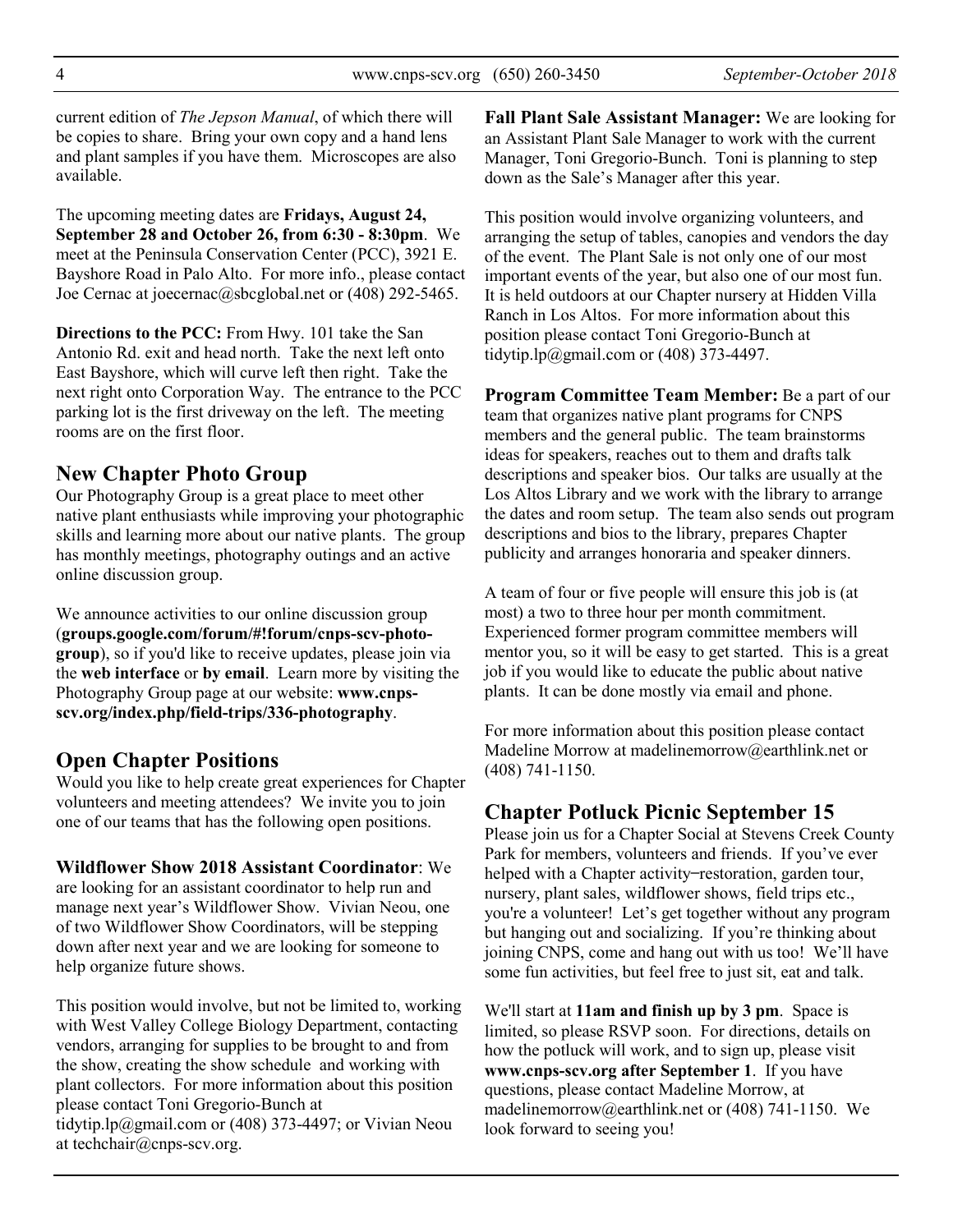current edition of *The Jepson Manual*, of which there will be copies to share. Bring your own copy and a hand lens and plant samples if you have them. Microscopes are also available.

The upcoming meeting dates are **Fridays, August 24, September 28 and October 26, from 6:30 - 8:30pm**. We meet at the Peninsula Conservation Center (PCC), 3921 E. Bayshore Road in Palo Alto. For more info., please contact Joe Cernac at joecernac@sbcglobal.net or (408) 292-5465.

**Directions to the PCC:** From Hwy. 101 take the San Antonio Rd. exit and head north. Take the next left onto East Bayshore, which will curve left then right. Take the next right onto Corporation Way. The entrance to the PCC parking lot is the first driveway on the left. The meeting rooms are on the first floor.

## **New Chapter Photo Group**

Our Photography Group is a great place to meet other native plant enthusiasts while improving your photographic skills and learning more about our native plants. The group has monthly meetings, photography outings and an active online discussion group.

We announce activities to our online discussion group (**groups.google.com/forum/#!forum/cnps-scv-photogroup**), so if you'd like to receive updates, please join via the **web interface** or **by email**. Learn more by visiting the Photography Group page at our website: **www.cnpsscv.org/index.php/field-trips/336-photography**.

## **Open Chapter Positions**

Would you like to help create great experiences for Chapter volunteers and meeting attendees? We invite you to join one of our teams that has the following open positions.

## **Wildflower Show 2018 Assistant Coordinator**: We

are looking for an assistant coordinator to help run and manage next year's Wildflower Show. Vivian Neou, one of two Wildflower Show Coordinators, will be stepping down after next year and we are looking for someone to help organize future shows.

This position would involve, but not be limited to, working with West Valley College Biology Department, contacting vendors, arranging for supplies to be brought to and from the show, creating the show schedule and working with plant collectors. For more information about this position please contact Toni Gregorio-Bunch at tidytip.lp@gmail.com or (408) 373-4497; or Vivian Neou at techchair@cnps-scv.org.

**Fall Plant Sale Assistant Manager:** We are looking for an Assistant Plant Sale Manager to work with the current Manager, Toni Gregorio-Bunch. Toni is planning to step down as the Sale's Manager after this year.

This position would involve organizing volunteers, and arranging the setup of tables, canopies and vendors the day of the event. The Plant Sale is not only one of our most important events of the year, but also one of our most fun. It is held outdoors at our Chapter nursery at Hidden Villa Ranch in Los Altos. For more information about this position please contact Toni Gregorio-Bunch at tidytip.lp@gmail.com or (408) 373-4497.

**Program Committee Team Member:** Be a part of our team that organizes native plant programs for CNPS members and the general public. The team brainstorms ideas for speakers, reaches out to them and drafts talk descriptions and speaker bios. Our talks are usually at the Los Altos Library and we work with the library to arrange the dates and room setup. The team also sends out program descriptions and bios to the library, prepares Chapter publicity and arranges honoraria and speaker dinners.

A team of four or five people will ensure this job is (at most) a two to three hour per month commitment. Experienced former program committee members will mentor you, so it will be easy to get started. This is a great job if you would like to educate the public about native plants. It can be done mostly via email and phone.

For more information about this position please contact Madeline Morrow at madelinemorrow@earthlink.net or (408) 741-1150.

# **Chapter Potluck Picnic September 15**

Please join us for a Chapter Social at Stevens Creek County Park for members, volunteers and friends. If you've ever helped with a Chapter activity–restoration, garden tour, nursery, plant sales, wildflower shows, field trips etc., you're a volunteer! Let's get together without any program but hanging out and socializing. If you're thinking about joining CNPS, come and hang out with us too! We'll have some fun activities, but feel free to just sit, eat and talk.

We'll start at **11am and finish up by 3 pm**. Space is limited, so please RSVP soon. For directions, details on how the potluck will work, and to sign up, please visit **www.cnps-scv.org after September 1**. If you have questions, please contact Madeline Morrow, at madelinemorrow@earthlink.net or (408) 741-1150. We look forward to seeing you!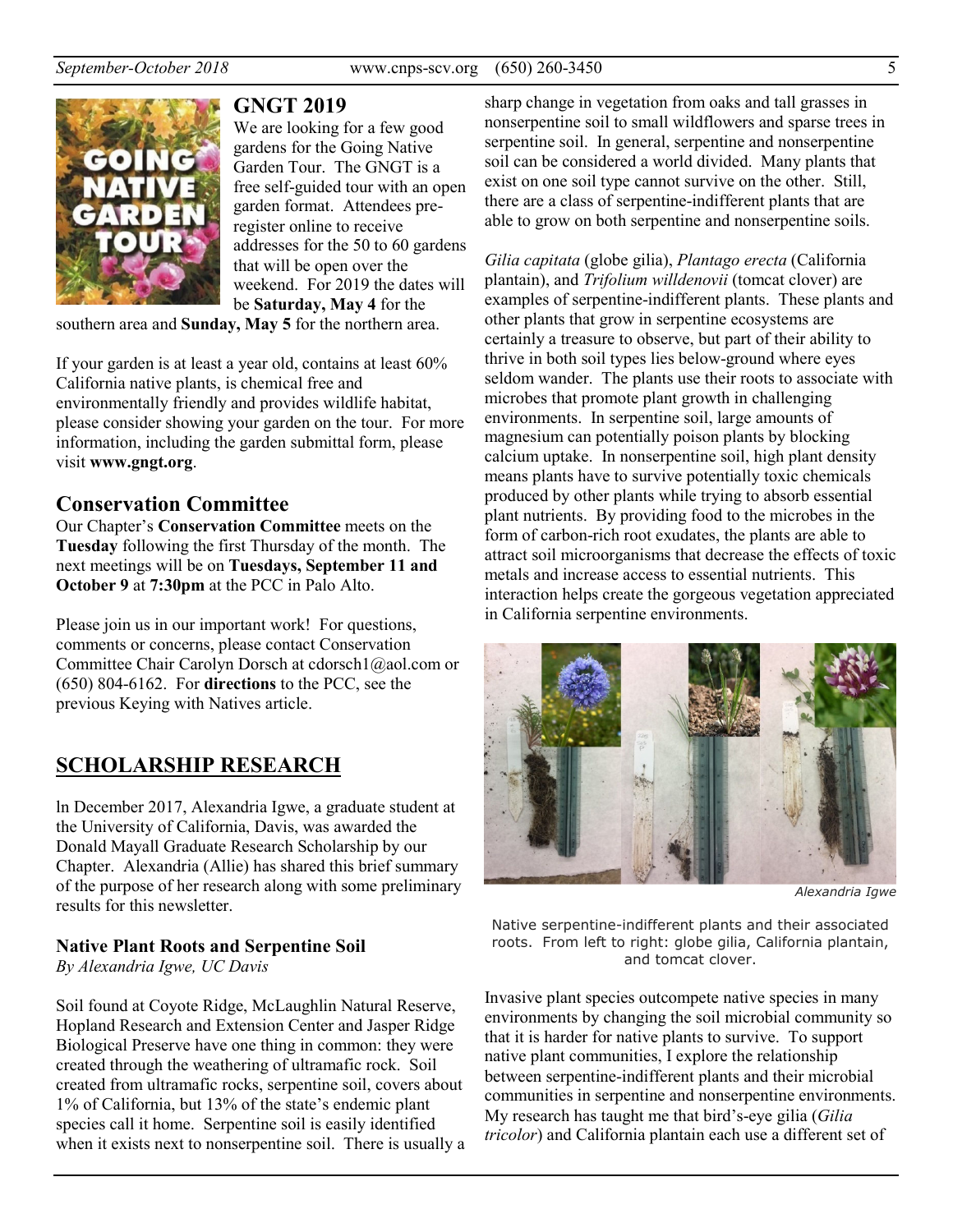

**GNGT 2019** 

We are looking for a few good gardens for the Going Native Garden Tour. The GNGT is a free self-guided tour with an open garden format. Attendees preregister online to receive addresses for the 50 to 60 gardens that will be open over the weekend. For 2019 the dates will be **Saturday, May 4** for the

southern area and **Sunday, May 5** for the northern area.

If your garden is at least a year old, contains at least 60% California native plants, is chemical free and environmentally friendly and provides wildlife habitat, please consider showing your garden on the tour. For more information, including the garden submittal form, please visit **www.gngt.org**.

## **Conservation Committee**

Our Chapter's **Conservation Committee** meets on the **Tuesday** following the first Thursday of the month. The next meetings will be on **Tuesdays, September 11 and October 9** at **7:30pm** at the PCC in Palo Alto.

Please join us in our important work! For questions, comments or concerns, please contact Conservation Committee Chair Carolyn Dorsch at cdorsch1@aol.com or (650) 804-6162. For **directions** to the PCC, see the previous Keying with Natives article.

## **SCHOLARSHIP RESEARCH**

ln December 2017, Alexandria Igwe, a graduate student at the University of California, Davis, was awarded the Donald Mayall Graduate Research Scholarship by our Chapter. Alexandria (Allie) has shared this brief summary of the purpose of her research along with some preliminary results for this newsletter.

## **Native Plant Roots and Serpentine Soil**

*By Alexandria Igwe, UC Davis* 

Soil found at Coyote Ridge, McLaughlin Natural Reserve, Hopland Research and Extension Center and Jasper Ridge Biological Preserve have one thing in common: they were created through the weathering of ultramafic rock. Soil created from ultramafic rocks, serpentine soil, covers about 1% of California, but 13% of the state's endemic plant species call it home. Serpentine soil is easily identified when it exists next to nonserpentine soil. There is usually a sharp change in vegetation from oaks and tall grasses in nonserpentine soil to small wildflowers and sparse trees in serpentine soil. In general, serpentine and nonserpentine soil can be considered a world divided. Many plants that exist on one soil type cannot survive on the other. Still, there are a class of serpentine-indifferent plants that are able to grow on both serpentine and nonserpentine soils.

*Gilia capitata* (globe gilia), *Plantago erecta* (California plantain), and *Trifolium willdenovii* (tomcat clover) are examples of serpentine-indifferent plants. These plants and other plants that grow in serpentine ecosystems are certainly a treasure to observe, but part of their ability to thrive in both soil types lies below-ground where eyes seldom wander. The plants use their roots to associate with microbes that promote plant growth in challenging environments. In serpentine soil, large amounts of magnesium can potentially poison plants by blocking calcium uptake. In nonserpentine soil, high plant density means plants have to survive potentially toxic chemicals produced by other plants while trying to absorb essential plant nutrients. By providing food to the microbes in the form of carbon-rich root exudates, the plants are able to attract soil microorganisms that decrease the effects of toxic metals and increase access to essential nutrients. This interaction helps create the gorgeous vegetation appreciated in California serpentine environments.



*Alexandria Igwe* 

Native serpentine-indifferent plants and their associated roots. From left to right: globe gilia, California plantain, and tomcat clover.

Invasive plant species outcompete native species in many environments by changing the soil microbial community so that it is harder for native plants to survive. To support native plant communities, I explore the relationship between serpentine-indifferent plants and their microbial communities in serpentine and nonserpentine environments. My research has taught me that bird's-eye gilia (*Gilia tricolor*) and California plantain each use a different set of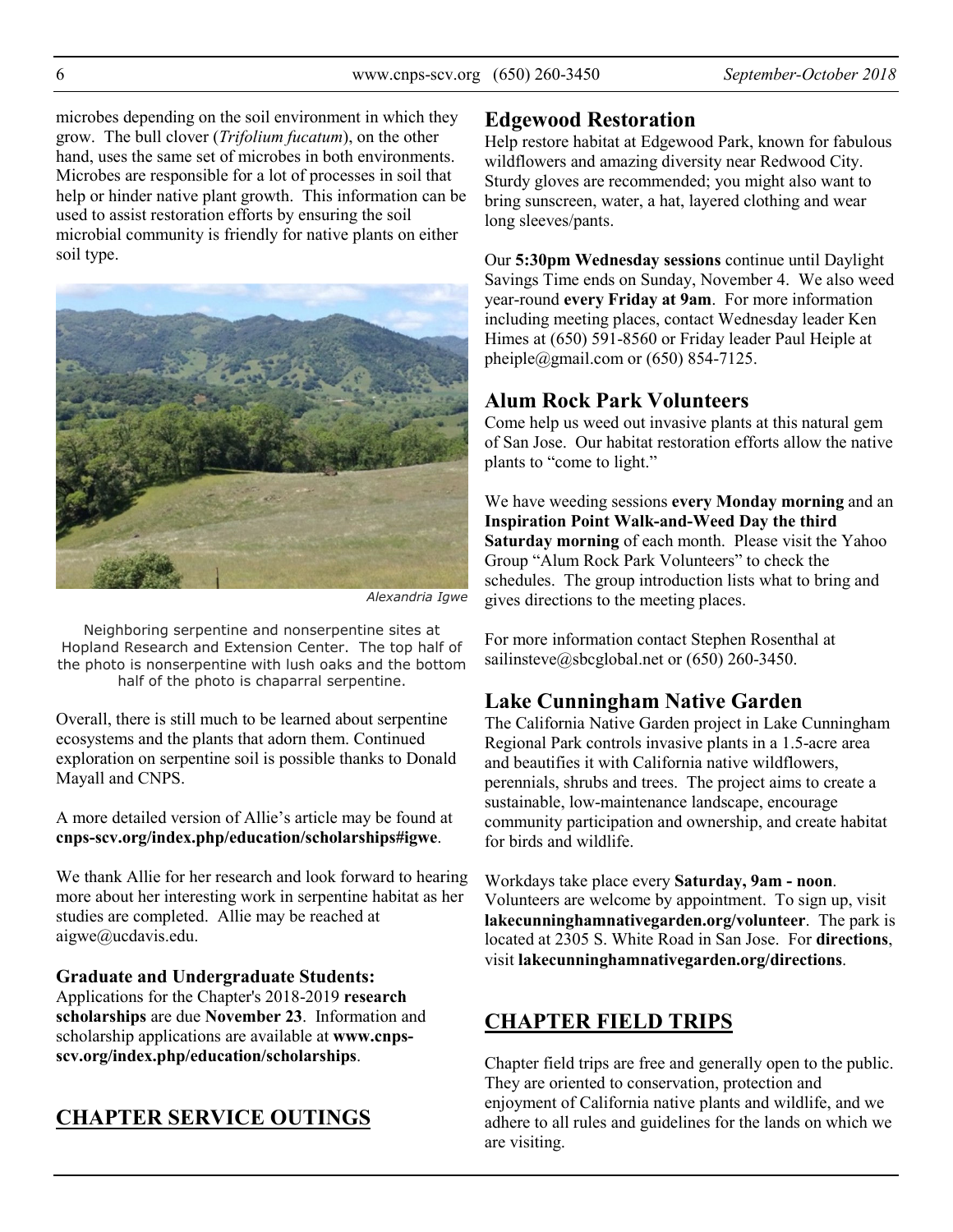microbes depending on the soil environment in which they grow. The bull clover (*Trifolium fucatum*), on the other hand, uses the same set of microbes in both environments. Microbes are responsible for a lot of processes in soil that help or hinder native plant growth. This information can be used to assist restoration efforts by ensuring the soil microbial community is friendly for native plants on either soil type.



*Alexandria Igwe* 

Neighboring serpentine and nonserpentine sites at Hopland Research and Extension Center. The top half of the photo is nonserpentine with lush oaks and the bottom half of the photo is chaparral serpentine.

Overall, there is still much to be learned about serpentine ecosystems and the plants that adorn them. Continued exploration on serpentine soil is possible thanks to Donald Mayall and CNPS.

A more detailed version of Allie's article may be found at **cnps-scv.org/index.php/education/scholarships#igwe**.

We thank Allie for her research and look forward to hearing more about her interesting work in serpentine habitat as her studies are completed. Allie may be reached at aigwe@ucdavis.edu.

**Graduate and Undergraduate Students:** Applications for the Chapter's 2018-2019 **research scholarships** are due **November 23**. Information and scholarship applications are available at **www.cnpsscv.org/index.php/education/scholarships**.

# **CHAPTER SERVICE OUTINGS**

## **Edgewood Restoration**

Help restore habitat at Edgewood Park, known for fabulous wildflowers and amazing diversity near Redwood City. Sturdy gloves are recommended; you might also want to bring sunscreen, water, a hat, layered clothing and wear long sleeves/pants.

Our **5:30pm Wednesday sessions** continue until Daylight Savings Time ends on Sunday, November 4. We also weed year-round **every Friday at 9am**. For more information including meeting places, contact Wednesday leader Ken Himes at (650) 591-8560 or Friday leader Paul Heiple at pheiple@gmail.com or  $(650)$  854-7125.

# **Alum Rock Park Volunteers**

Come help us weed out invasive plants at this natural gem of San Jose. Our habitat restoration efforts allow the native plants to "come to light."

We have weeding sessions **every Monday morning** and an **Inspiration Point Walk-and-Weed Day the third Saturday morning** of each month. Please visit the Yahoo Group "Alum Rock Park Volunteers" to check the schedules. The group introduction lists what to bring and gives directions to the meeting places.

For more information contact Stephen Rosenthal at sailinsteve@sbcglobal.net or (650) 260-3450.

# **Lake Cunningham Native Garden**

The California Native Garden project in Lake Cunningham Regional Park controls invasive plants in a 1.5-acre area and beautifies it with California native wildflowers, perennials, shrubs and trees. The project aims to create a sustainable, low-maintenance landscape, encourage community participation and ownership, and create habitat for birds and wildlife.

Workdays take place every **Saturday, 9am - noon**. Volunteers are welcome by appointment. To sign up, visit **lakecunninghamnativegarden.org/volunteer**. The park is located at 2305 S. White Road in San Jose. For **directions**, visit **lakecunninghamnativegarden.org/directions**.

# **CHAPTER FIELD TRIPS**

Chapter field trips are free and generally open to the public. They are oriented to conservation, protection and enjoyment of California native plants and wildlife, and we adhere to all rules and guidelines for the lands on which we are visiting.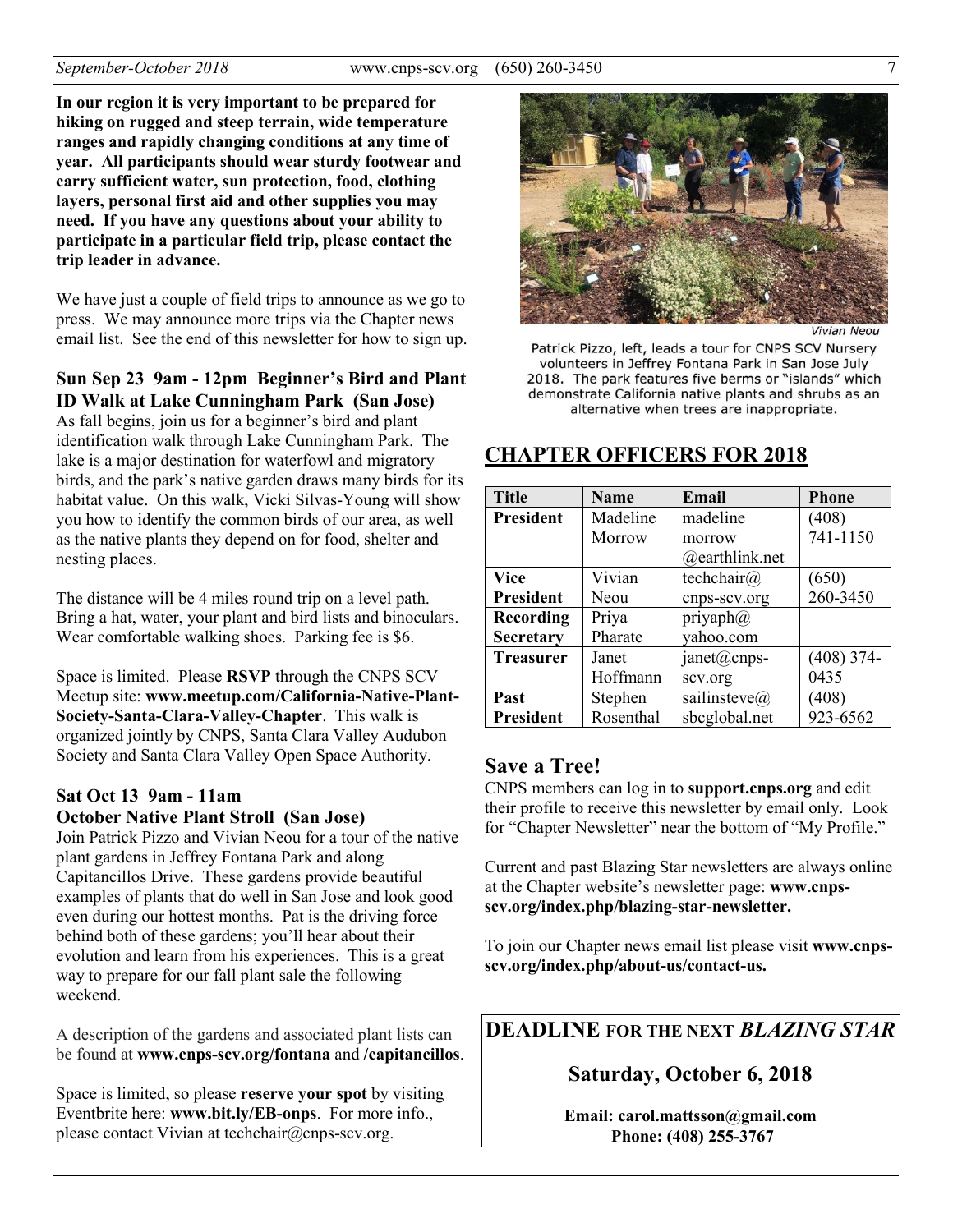**In our region it is very important to be prepared for hiking on rugged and steep terrain, wide temperature ranges and rapidly changing conditions at any time of year. All participants should wear sturdy footwear and carry sufficient water, sun protection, food, clothing layers, personal first aid and other supplies you may need. If you have any questions about your ability to participate in a particular field trip, please contact the trip leader in advance.** 

We have just a couple of field trips to announce as we go to press. We may announce more trips via the Chapter news email list. See the end of this newsletter for how to sign up.

#### **Sun Sep 23 9am - 12pm Beginner's Bird and Plant ID Walk at Lake Cunningham Park (San Jose)**

As fall begins, join us for a beginner's bird and plant identification walk through Lake Cunningham Park. The lake is a major destination for waterfowl and migratory birds, and the park's native garden draws many birds for its habitat value. On this walk, Vicki Silvas-Young will show you how to identify the common birds of our area, as well as the native plants they depend on for food, shelter and nesting places.

The distance will be 4 miles round trip on a level path. Bring a hat, water, your plant and bird lists and binoculars. Wear comfortable walking shoes. Parking fee is \$6.

Space is limited. Please **RSVP** through the CNPS SCV Meetup site: **www.meetup.com/California-Native-Plant-Society-Santa-Clara-Valley-Chapter**. This walk is organized jointly by CNPS, Santa Clara Valley Audubon Society and Santa Clara Valley Open Space Authority.

#### **Sat Oct 13 9am - 11am October Native Plant Stroll (San Jose)**

Join Patrick Pizzo and Vivian Neou for a tour of the native plant gardens in Jeffrey Fontana Park and along Capitancillos Drive. These gardens provide beautiful examples of plants that do well in San Jose and look good even during our hottest months. Pat is the driving force behind both of these gardens; you'll hear about their evolution and learn from his experiences. This is a great way to prepare for our fall plant sale the following weekend.

A description of the gardens and associated plant lists can be found at **www.cnps-scv.org/fontana** and **/capitancillos**.

Space is limited, so please **reserve your spot** by visiting Eventbrite here: **www.bit.ly/EB-onps**. For more info., please contact Vivian at techchair@cnps-scv.org.



**Vivian Neou** 

Patrick Pizzo, left, leads a tour for CNPS SCV Nursery volunteers in Jeffrey Fontana Park in San Jose July 2018. The park features five berms or "islands" which demonstrate California native plants and shrubs as an alternative when trees are inappropriate.

## **CHAPTER OFFICERS FOR 2018**

| <b>Title</b>     | <b>Name</b> | Email                | <b>Phone</b> |
|------------------|-------------|----------------------|--------------|
| <b>President</b> | Madeline    | madeline             | (408)        |
|                  | Morrow      | morrow               | 741-1150     |
|                  |             | @earthlink.net       |              |
| <b>Vice</b>      | Vivian      | techchair@           | (650)        |
| <b>President</b> | Neou        | cnps-scv.org         | 260-3450     |
| Recording        | Priya       | priyaph $@$          |              |
| <b>Secretary</b> | Pharate     | yahoo.com            |              |
| <b>Treasurer</b> | Janet       | janet@cnps-          | $(408)$ 374- |
|                  | Hoffmann    | scv.org              | 0435         |
| Past             | Stephen     | sailinsteve $\omega$ | (408)        |
| <b>President</b> | Rosenthal   | sbcglobal.net        | 923-6562     |

## **Save a Tree!**

CNPS members can log in to **support.cnps.org** and edit their profile to receive this newsletter by email only. Look for "Chapter Newsletter" near the bottom of "My Profile."

Current and past Blazing Star newsletters are always online at the Chapter website's newsletter page: **www.cnpsscv.org/index.php/blazing-star-newsletter.** 

To join our Chapter news email list please visit **www.cnpsscv.org/index.php/about-us/contact-us.**

## **DEADLINE FOR THE NEXT** *BLAZING STAR*

## **Saturday, October 6, 2018**

**Email: carol.mattsson@gmail.com Phone: (408) 255-3767**